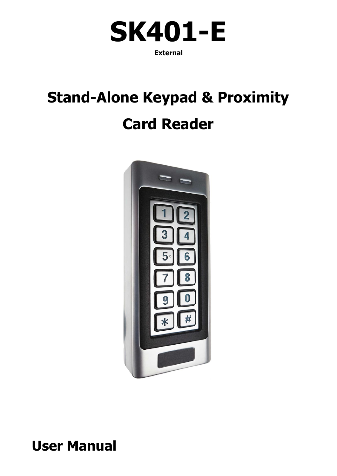

## **Stand-Alone Keypad & Proximity Card Reader**



## **User Manual**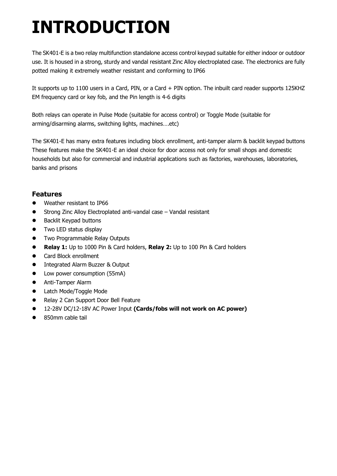## **INTRODUCTION**

The SK401-E is a two relay multifunction standalone access control keypad suitable for either indoor or outdoor use. It is housed in a strong, sturdy and vandal resistant Zinc Alloy electroplated case. The electronics are fully potted making it extremely weather resistant and conforming to IP66

It supports up to 1100 users in a Card, PIN, or a Card + PIN option. The inbuilt card reader supports 125KHZ EM frequency card or key fob, and the Pin length is 4-6 digits

Both relays can operate in Pulse Mode (suitable for access control) or Toggle Mode (suitable for arming/disarming alarms, switching lights, machines….etc)

The SK401-E has many extra features including block enrollment, anti-tamper alarm & backlit keypad buttons These features make the SK401-E an ideal choice for door access not only for small shops and domestic households but also for commercial and industrial applications such as factories, warehouses, laboratories, banks and prisons

## **Features**

- Weather resistant to IP66
- Strong Zinc Alloy Electroplated anti-vandal case Vandal resistant
- Backlit Keypad buttons
- **•** Two LED status display
- **•** Two Programmable Relay Outputs
- **Relay 1:** Up to 1000 Pin & Card holders, **Relay 2:** Up to 100 Pin & Card holders
- **•** Card Block enrollment
- **•** Integrated Alarm Buzzer & Output
- Low power consumption (55mA)
- **•** Anti-Tamper Alarm
- **•** Latch Mode/Toggle Mode
- Relay 2 Can Support Door Bell Feature
- 12-28V DC/12-18V AC Power Input **(Cards/fobs will not work on AC power)**
- 850mm cable tail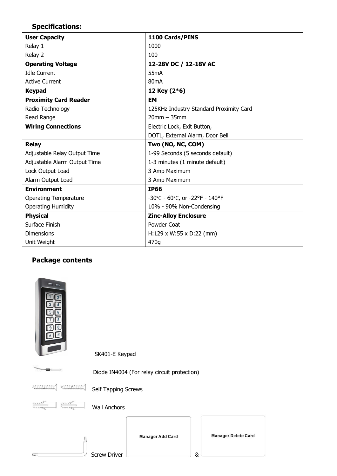## **Specifications:**

| <b>User Capacity</b>         | 1100 Cards/PINS                         |
|------------------------------|-----------------------------------------|
| Relay 1                      | 1000                                    |
| Relay 2                      | 100                                     |
| <b>Operating Voltage</b>     | 12-28V DC / 12-18V AC                   |
| <b>Idle Current</b>          | 55 <sub>m</sub> A                       |
| <b>Active Current</b>        | 80mA                                    |
| <b>Keypad</b>                | 12 Key (2*6)                            |
| <b>Proximity Card Reader</b> | <b>EM</b>                               |
| Radio Technology             | 125KHz Industry Standard Proximity Card |
| Read Range                   | $20$ mm $-35$ mm                        |
| <b>Wiring Connections</b>    | Electric Lock, Exit Button,             |
|                              | DOTL, External Alarm, Door Bell         |
|                              |                                         |
| <b>Relay</b>                 | Two (NO, NC, COM)                       |
| Adjustable Relay Output Time | 1-99 Seconds (5 seconds default)        |
| Adjustable Alarm Output Time | 1-3 minutes (1 minute default)          |
| Lock Output Load             | 3 Amp Maximum                           |
| Alarm Output Load            | 3 Amp Maximum                           |
| <b>Environment</b>           | <b>IP66</b>                             |
| <b>Operating Temperature</b> | -30°C - 60°C, or -22°F - 140°F          |
| <b>Operating Humidity</b>    | 10% - 90% Non-Condensing                |
| <b>Physical</b>              | <b>Zinc-Alloy Enclosure</b>             |
| Surface Finish               | Powder Coat                             |
| <b>Dimensions</b>            | $H:129 \times W:55 \times D:22$ (mm)    |

## **Package contents**

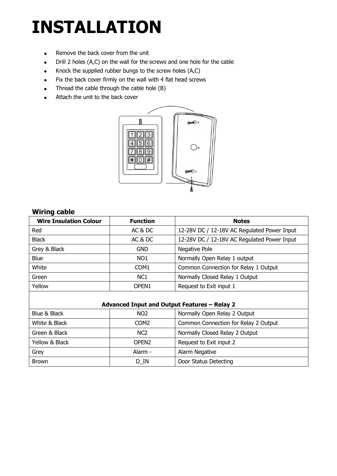## **INSTALLATION**

- Remove the back cover from the unit
- Drill 2 holes (A,C) on the wall for the screws and one hole for the cable
- Knock the supplied rubber bungs to the screw holes (A,C)
- Fix the back cover firmly on the wall with 4 flat head screws
- Thread the cable through the cable hole (B)
- Attach the unit to the back cover



### **Wiring cable**

| <b>Wire Insulation Colour</b> | <b>Function</b>   | <b>Notes</b>                                |
|-------------------------------|-------------------|---------------------------------------------|
| Red                           | AC & DC           | 12-28V DC / 12-18V AC Regulated Power Input |
| <b>Black</b>                  | AC & DC           | 12-28V DC / 12-18V AC Regulated Power Input |
| Grey & Black                  | <b>GND</b>        | Negative Pole                               |
| <b>Blue</b>                   | NO <sub>1</sub>   | Normally Open Relay 1 output                |
| White                         | COM <sub>1</sub>  | Common Connection for Relay 1 Output        |
| Green                         | NC <sub>1</sub>   | Normally Closed Relay 1 Output              |
| Yellow                        | OPEN <sub>1</sub> | Request to Exit input 1                     |
|                               |                   |                                             |

#### **Advanced Input and Output Features – Relay 2**

| Blue & Black   | NO <sub>2</sub>   | Normally Open Relay 2 Output         |
|----------------|-------------------|--------------------------------------|
| White & Black  | COM2              | Common Connection for Relay 2 Output |
| Green & Black  | NC <sub>2</sub>   | Normally Closed Relay 2 Output       |
| Yellow & Black | OPEN <sub>2</sub> | Request to Exit input 2              |
| Grey           | Alarm -           | Alarm Negative                       |
| <b>Brown</b>   | D IN              | Door Status Detecting                |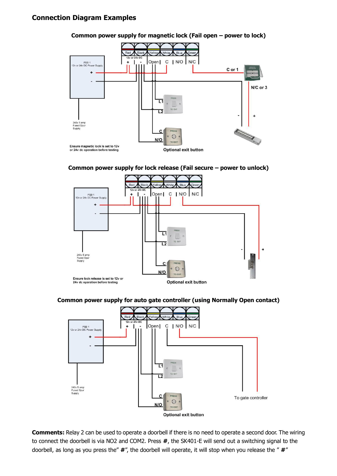#### **Connection Diagram Examples**









**Common power supply for auto gate controller (using Normally Open contact)**



**Comments:** Relay 2 can be used to operate a doorbell if there is no need to operate a second door. The wiring to connect the doorbell is via NO2 and COM2. Press **#**, the SK401-E will send out a switching signal to the doorbell, as long as you press the" **#**", the doorbell will operate, it will stop when you release the " **#**"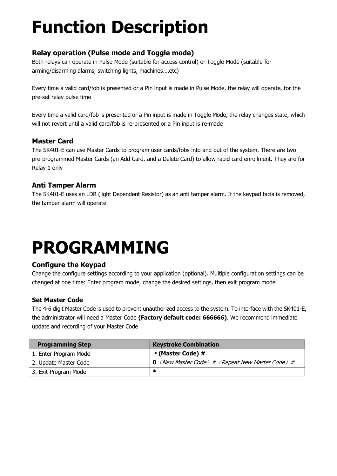## **Function Description**

## **Relay operation (Pulse mode and Toggle mode)**

Both relays can operate in Pulse Mode (suitable for access control) or Toggle Mode (suitable for arming/disarming alarms, switching lights, machines….etc)

Every time a valid card/fob is presented or a Pin input is made in Pulse Mode, the relay will operate, for the pre-set relay pulse time

Every time a valid card/fob is presented or a Pin input is made in Toggle Mode, the relay changes state, which will not revert until a valid card/fob is re-presented or a Pin input is re-made

## **Master Card**

The SK401-E can use Master Cards to program user cards/fobs into and out of the system. There are two pre-programmed Master Cards (an Add Card, and a Delete Card) to allow rapid card enrollment. They are for Relay 1 only

## **Anti Tamper Alarm**

The SK401-E uses an LDR (light Dependent Resistor) as an anti tamper alarm. If the keypad facia is removed, the tamper alarm will operate

## **PROGRAMMING**

## **Configure the Keypad**

Change the configure settings according to your application (optional). Multiple configuration settings can be changed at one time: Enter program mode, change the desired settings, then exit program mode

## **Set Master Code**

The 4-6 digit Master Code is used to prevent unauthorized access to the system. To interface with the SK401-E, the administrator will need a Master Code **(Factory default code: 666666)**. We recommend immediate update and recording of your Master Code

| <b>Programming Step</b> | <b>Keystroke Combination</b>                            |
|-------------------------|---------------------------------------------------------|
| 1. Enter Program Mode   | * (Master Code) #                                       |
| 2. Update Master Code   | <b>0</b> (New Master Code) # (Repeat New Master Code) # |
| 3. Exit Program Mode    | ж                                                       |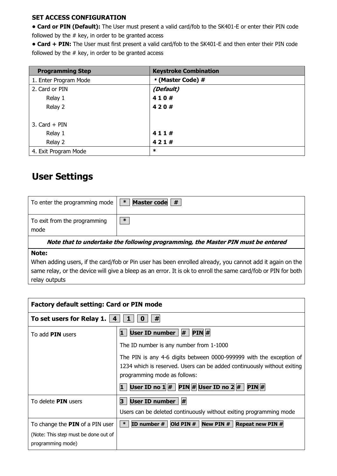#### **SET ACCESS CONFIGURATION**

**• Card or PIN (Default):** The User must present a valid card/fob to the SK401-E or enter their PIN code followed by the  $#$  key, in order to be granted access

**• Card + PIN:** The User must first present a valid card/fob to the SK401-E and then enter their PIN code followed by the  $#$  key, in order to be granted access

| <b>Programming Step</b> | <b>Keystroke Combination</b> |
|-------------------------|------------------------------|
| 1. Enter Program Mode   | * (Master Code) #            |
| 2. Card or PIN          | (Default)                    |
| Relay 1                 | 410#                         |
| Relay 2                 | 420#                         |
| 3. $Card + PIN$         |                              |
| Relay 1                 | 411#                         |
| Relay 2                 | 421#                         |
| 4. Exit Program Mode    | $\ast$                       |

## **User Settings**

| To enter the programming mode                                                    | $\ast$<br>Master code # |
|----------------------------------------------------------------------------------|-------------------------|
| To exit from the programming<br>mode                                             | $\ast$                  |
| Note that to undertake the following programming, the Master PIN must be entered |                         |

#### **Note:**

When adding users, if the card/fob or Pin user has been enrolled already, you cannot add it again on the same relay, or the device will give a bleep as an error. It is ok to enroll the same card/fob or PIN for both relay outputs

| <b>Factory default setting: Card or PIN mode</b>          |                                                                                                                                                                                |
|-----------------------------------------------------------|--------------------------------------------------------------------------------------------------------------------------------------------------------------------------------|
| To set users for Relay 1. $\vert$ 4<br>#                  |                                                                                                                                                                                |
| To add PIN users                                          | User ID number $  #$<br>PIN#<br>1                                                                                                                                              |
|                                                           | The ID number is any number from 1-1000                                                                                                                                        |
|                                                           | The PIN is any 4-6 digits between 0000-999999 with the exception of<br>1234 which is reserved. Users can be added continuously without exiting<br>programming mode as follows: |
|                                                           | User ID no $1 \mid # \mid$ PIN $\mid #$ User ID no $2 \mid # \mid$<br> PIN #<br>1                                                                                              |
| To delete <b>PIN</b> users                                | #<br>User ID number<br>3                                                                                                                                                       |
|                                                           | Users can be deleted continuously without exiting programming mode                                                                                                             |
| To change the <b>PIN</b> of a PIN user                    | ID number $#$<br>Old PIN $#$ New PIN $#$<br>$*$<br><b>Repeat new PIN #</b>                                                                                                     |
| (Note: This step must be done out of<br>programming mode) |                                                                                                                                                                                |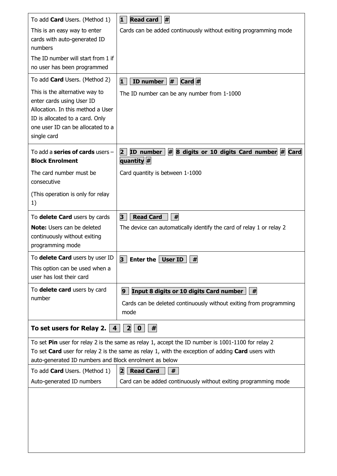| To add <b>Card</b> Users. (Method 1)                                                                                                                                                    | Read card<br>#<br>1                                                                                                                                                                                    |
|-----------------------------------------------------------------------------------------------------------------------------------------------------------------------------------------|--------------------------------------------------------------------------------------------------------------------------------------------------------------------------------------------------------|
| This is an easy way to enter<br>cards with auto-generated ID                                                                                                                            | Cards can be added continuously without exiting programming mode                                                                                                                                       |
| numbers<br>The ID number will start from 1 if                                                                                                                                           |                                                                                                                                                                                                        |
| no user has been programmed                                                                                                                                                             |                                                                                                                                                                                                        |
| To add <b>Card</b> Users. (Method 2)                                                                                                                                                    | ID number $  #   $ Card $  #$<br>1                                                                                                                                                                     |
| This is the alternative way to<br>enter cards using User ID<br>Allocation. In this method a User<br>ID is allocated to a card. Only<br>one user ID can be allocated to a<br>single card | The ID number can be any number from 1-1000                                                                                                                                                            |
| To add a series of cards users $-$<br><b>Block Enrolment</b>                                                                                                                            | #<br>8 digits or 10 digits Card number # Card<br>ID number<br>$\overline{2}$<br>quantity #                                                                                                             |
| The card number must be<br>consecutive                                                                                                                                                  | Card quantity is between 1-1000                                                                                                                                                                        |
| (This operation is only for relay<br>1)                                                                                                                                                 |                                                                                                                                                                                                        |
| To delete Card users by cards                                                                                                                                                           | <b>Read Card</b><br>#<br>3                                                                                                                                                                             |
| <b>Note:</b> Users can be deleted<br>continuously without exiting<br>programming mode                                                                                                   | The device can automatically identify the card of relay 1 or relay 2                                                                                                                                   |
| To delete Card users by user ID                                                                                                                                                         | 3<br>#<br><b>Enter the</b><br><b>User ID</b>                                                                                                                                                           |
| This option can be used when a<br>user has lost their card                                                                                                                              |                                                                                                                                                                                                        |
| To delete card users by card                                                                                                                                                            | Input 8 digits or 10 digits Card number<br>9 <sup>1</sup><br>  #                                                                                                                                       |
| number                                                                                                                                                                                  | Cards can be deleted continuously without exiting from programming<br>mode                                                                                                                             |
| To set users for Relay 2.<br>$\overline{2}$<br>$\overline{\mathbf{4}}$<br>$\mathbf 0$<br>#                                                                                              |                                                                                                                                                                                                        |
| auto-generated ID numbers and Block enrolment as below                                                                                                                                  | To set Pin user for relay 2 is the same as relay 1, accept the ID number is 1001-1100 for relay 2<br>To set Card user for relay 2 is the same as relay 1, with the exception of adding Card users with |
| To add <b>Card</b> Users. (Method 1)                                                                                                                                                    | <b>Read Card</b><br>$\mathbf{z}$<br>#                                                                                                                                                                  |
| Auto-generated ID numbers                                                                                                                                                               | Card can be added continuously without exiting programming mode                                                                                                                                        |
|                                                                                                                                                                                         |                                                                                                                                                                                                        |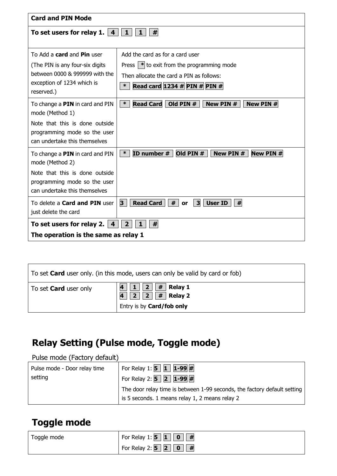| <b>Card and PIN Mode</b>                                      |                                                                                |
|---------------------------------------------------------------|--------------------------------------------------------------------------------|
| To set users for relay 1. $ 4 $                               | #<br>$\mathbf{1}$<br>$\mathbf{1}$                                              |
|                                                               |                                                                                |
| To Add a <b>card</b> and <b>Pin</b> user                      | Add the card as for a card user                                                |
| (The PIN is any four-six digits                               | Press $ \cdot $ to exit from the programming mode                              |
| between 0000 & 999999 with the                                | Then allocate the card a PIN as follows:                                       |
| exception of 1234 which is<br>reserved.)                      | Read card 1234 # PIN # PIN #<br>$\ast$                                         |
| To change a PIN in card and PIN                               | $\ast$<br><b>Read Card</b><br>Old PIN #<br>New PIN #<br>New PIN #              |
| mode (Method 1)                                               |                                                                                |
| Note that this is done outside                                |                                                                                |
| programming mode so the user<br>can undertake this themselves |                                                                                |
|                                                               |                                                                                |
| To change a PIN in card and PIN<br>mode (Method 2)            | ID number #<br>Old PIN $#$<br>New PIN #<br><b>New PIN#</b><br>$\ast$           |
| Note that this is done outside                                |                                                                                |
| programming mode so the user                                  |                                                                                |
| can undertake this themselves                                 |                                                                                |
| To delete a <b>Card and PIN</b> user                          | 3<br><b>Read Card</b><br>#<br>$\mathbf{3}$<br><b>User ID</b><br>#<br><b>or</b> |
| just delete the card                                          |                                                                                |
| To set users for relay 2. $\vert$ 4                           | $\overline{2}$<br>#<br>1                                                       |
| The operation is the same as relay 1                          |                                                                                |

| To set <b>Card</b> user only. (in this mode, users can only be valid by card or fob) |                                                                                                                     |
|--------------------------------------------------------------------------------------|---------------------------------------------------------------------------------------------------------------------|
| To set <b>Card</b> user only                                                         | 1    2    #   Relay 1<br>4<br>$\boxed{2}$ # Relay 2<br>$\mathbf{A}$<br>$\vert 2 \vert$<br>Entry is by Card/fob only |

## **Relay Setting (Pulse mode, Toggle mode)**

Pulse mode (Factory default)

| Pulse mode - Door relay time | For Relay 1: <b>5</b> 1 $\sqrt{1-99}$ #                                  |
|------------------------------|--------------------------------------------------------------------------|
| setting                      | For Relay 2: $\overline{5}$ 2 1-99 #                                     |
|                              | The door relay time is between 1-99 seconds, the factory default setting |
|                              | is 5 seconds. 1 means relay 1, 2 means relay 2                           |

## **Toggle mode**

| Toggle mode | For Relay 1: $\bf{5}   1   0$<br>#                                             |
|-------------|--------------------------------------------------------------------------------|
|             | For Relay 2: $\mathbf{5} \mid \mathbf{2} \mid$<br>$\overline{\mathbf{0}}$<br># |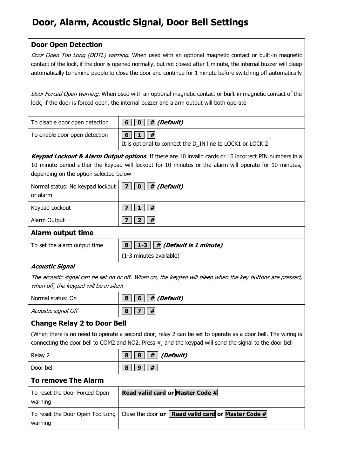## **Door, Alarm, Acoustic Signal, Door Bell Settings**

## **Door Open Detection**

Door Open Too Long (DOTL) warning. When used with an optional magnetic contact or built-in magnetic contact of the lock, if the door is opened normally, but not closed after 1 minute, the internal buzzer will bleep automatically to remind people to close the door and continue for 1 minute before switching off automatically

Door Forced Open warning. When used with an optional magnetic contact or built-in magnetic contact of the lock, if the door is forced open, the internal buzzer and alarm output will both operate

| To disable door open detection | $\vert 6 \vert \vert 0 \vert \vert$ # (Default)                        |
|--------------------------------|------------------------------------------------------------------------|
| To enable door open detection  | $6 \mid$<br>It is optional to connect the D_IN line to LOCK1 or LOCK 2 |

**Keypad Lockout & Alarm Output options**. If there are 10 invalid cards or 10 incorrect PIN numbers in a 10 minute period either the keypad will lockout for 10 minutes or the alarm will operate for 10 minutes, depending on the option selected below

| Normal status: No keypad lockout $\boxed{7}$ $\boxed{0}$ $\boxed{\#}$ (Default)<br>or alarm |         |
|---------------------------------------------------------------------------------------------|---------|
| Keypad Lockout                                                                              | ⇁<br> # |
| Alarm Output                                                                                | #       |

### **Alarm output time**

| To set the alarm output time | $\boxed{8}$ $\boxed{1-3}$ $\boxed{\#}$ (Default is 1 minute) |
|------------------------------|--------------------------------------------------------------|
|                              | $(1-3$ minutes available)                                    |

### **Acoustic Signal**

The acoustic signal can be set on or off. When on, the keypad will bleep when the key buttons are pressed, when off, the keypad will be in silent

| Normal status: On   | $\vert 6 \vert \vert$ # (Default)<br>8 |
|---------------------|----------------------------------------|
| Acoustic signal Off | 8<br>#                                 |

## **Change Relay 2 to Door Bell**

(When there is no need to operate a second door, relay 2 can be set to operate as a door bell. The wiring is connecting the door bell to COM2 and NO2. Press #, and the keypad will send the signal to the door bell

| Relay 2   | (Default)<br>#<br>8<br>8 |
|-----------|--------------------------|
| Door bell | #<br>8<br>$\Omega$       |

## **To remove The Alarm**

| To reset the Door Forced Open<br>warning                         | Read valid card or Master Code # |
|------------------------------------------------------------------|----------------------------------|
| To reset the Door Open Too Long   Close the door or  <br>warning | Read valid card or Master Code # |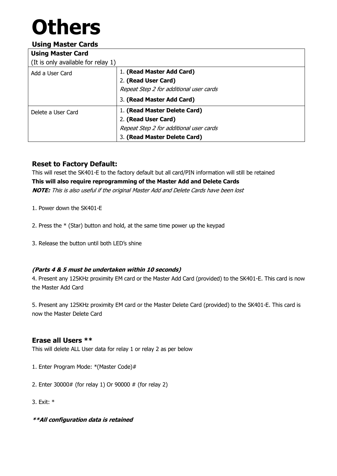# **Others**

## **Using Master Cards**

| <b>Using Master Card</b>           |                                         |
|------------------------------------|-----------------------------------------|
| (It is only available for relay 1) |                                         |
| Add a User Card                    | 1. (Read Master Add Card)               |
|                                    | 2. (Read User Card)                     |
|                                    | Repeat Step 2 for additional user cards |
|                                    | 3. (Read Master Add Card)               |
| Delete a User Card                 | 1. (Read Master Delete Card)            |
|                                    | 2. (Read User Card)                     |
|                                    | Repeat Step 2 for additional user cards |
|                                    | 3. (Read Master Delete Card)            |

## **Reset to Factory Default:**

This will reset the SK401-E to the factory default but all card/PIN information will still be retained **This will also require reprogramming of the Master Add and Delete Cards NOTE:** This is also useful if the original Master Add and Delete Cards have been lost

- 1. Power down the SK401-E
- 2. Press the \* (Star) button and hold, at the same time power up the keypad
- 3. Release the button until both LED's shine

### **(Parts 4 & 5 must be undertaken within 10 seconds)**

4. Present any 125KHz proximity EM card or the Master Add Card (provided) to the SK401-E. This card is now the Master Add Card

5. Present any 125KHz proximity EM card or the Master Delete Card (provided) to the SK401-E. This card is now the Master Delete Card

## **Erase all Users \*\***

This will delete ALL User data for relay 1 or relay 2 as per below

- 1. Enter Program Mode: \*(Master Code)#
- 2. Enter 30000# (for relay 1) Or 90000 # (for relay 2)
- 3. Exit: \*
- **\*\*All configuration data is retained**